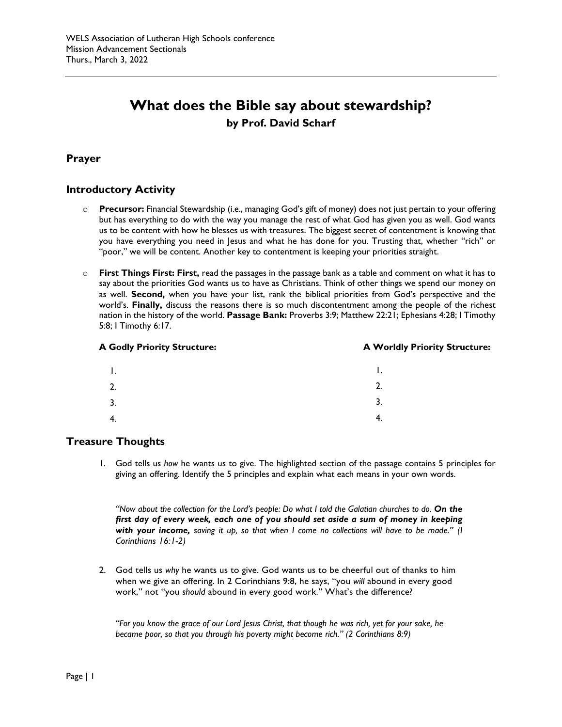# **What does the Bible say about stewardship? by Prof. David Scharf**

# **Prayer**

# **Introductory Activity**

- o **Precursor:** Financial Stewardship (i.e., managing God's gift of money) does not just pertain to your offering but has everything to do with the way you manage the rest of what God has given you as well. God wants us to be content with how he blesses us with treasures. The biggest secret of contentment is knowing that you have everything you need in Jesus and what he has done for you. Trusting that, whether "rich" or "poor," we will be content. Another key to contentment is keeping your priorities straight.
- o **First Things First: First,** read the passages in the passage bank as a table and comment on what it has to say about the priorities God wants us to have as Christians. Think of other things we spend our money on as well. **Second,** when you have your list, rank the biblical priorities from God's perspective and the world's. **Finally,** discuss the reasons there is so much discontentment among the people of the richest nation in the history of the world. **Passage Bank:** Proverbs 3:9; Matthew 22:21; Ephesians 4:28; I Timothy 5:8; I Timothy 6:17.

#### **A Godly Priority Structure: A Worldly Priority Structure:**

| Ι. | Ι. |
|----|----|
| 2. | 2. |
| 3. | 3. |
| 4. | 4. |

# **Treasure Thoughts**

1. God tells us *how* he wants us to give. The highlighted section of the passage contains 5 principles for giving an offering. Identify the 5 principles and explain what each means in your own words.

*"Now about the collection for the Lord's people: Do what I told the Galatian churches to do. On the first day of every week, each one of you should set aside a sum of money in keeping with your income, saving it up, so that when I come no collections will have to be made." (I Corinthians 16:1-2)*

2. God tells us *why* he wants us to give. God wants us to be cheerful out of thanks to him when we give an offering. In 2 Corinthians 9:8, he says, "you *will* abound in every good work," not "you *should* abound in every good work." What's the difference?

*"For you know the grace of our Lord Jesus Christ, that though he was rich, yet for your sake, he became poor, so that you through his poverty might become rich." (2 Corinthians 8:9)*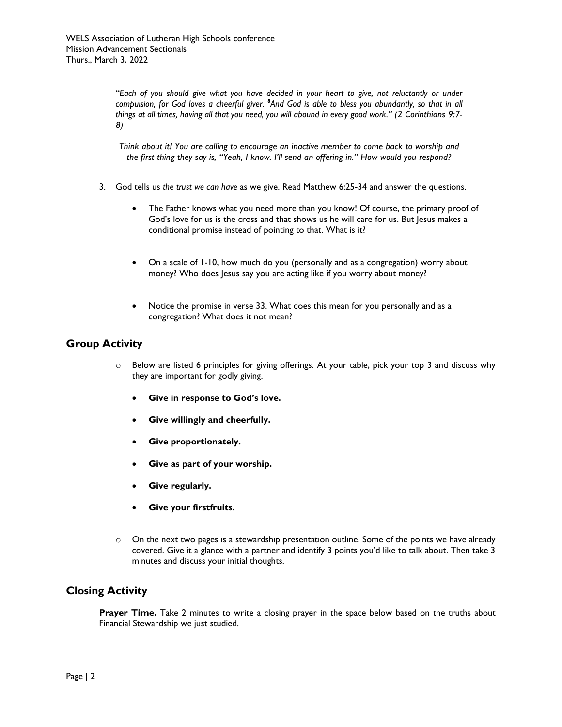*"Each of you should give what you have decided in your heart to give, not reluctantly or under compulsion, for God loves a cheerful giver. <sup>8</sup> And God is able to bless you abundantly, so that in all things at all times, having all that you need, you will abound in every good work." (2 Corinthians 9:7- 8)*

*Think about it! You are calling to encourage an inactive member to come back to worship and the first thing they say is, "Yeah, I know. I'll send an offering in." How would you respond?*

- 3. God tells us *the trust we can have* as we give. Read Matthew 6:25-34 and answer the questions.
	- The Father knows what you need more than you know! Of course, the primary proof of God's love for us is the cross and that shows us he will care for us. But Jesus makes a conditional promise instead of pointing to that. What is it?
	- On a scale of 1-10, how much do you (personally and as a congregation) worry about money? Who does Jesus say you are acting like if you worry about money?
	- Notice the promise in verse 33. What does this mean for you personally and as a congregation? What does it not mean?

# **Group Activity**

- o Below are listed 6 principles for giving offerings. At your table, pick your top 3 and discuss why they are important for godly giving.
	- **Give in response to God's love.**
	- **Give willingly and cheerfully.**
	- **Give proportionately.**
	- **Give as part of your worship.**
	- **Give regularly.**
	- **Give your firstfruits.**
- $\circ$  On the next two pages is a stewardship presentation outline. Some of the points we have already covered. Give it a glance with a partner and identify 3 points you'd like to talk about. Then take 3 minutes and discuss your initial thoughts.

# **Closing Activity**

**Prayer Time.** Take 2 minutes to write a closing prayer in the space below based on the truths about Financial Stewardship we just studied.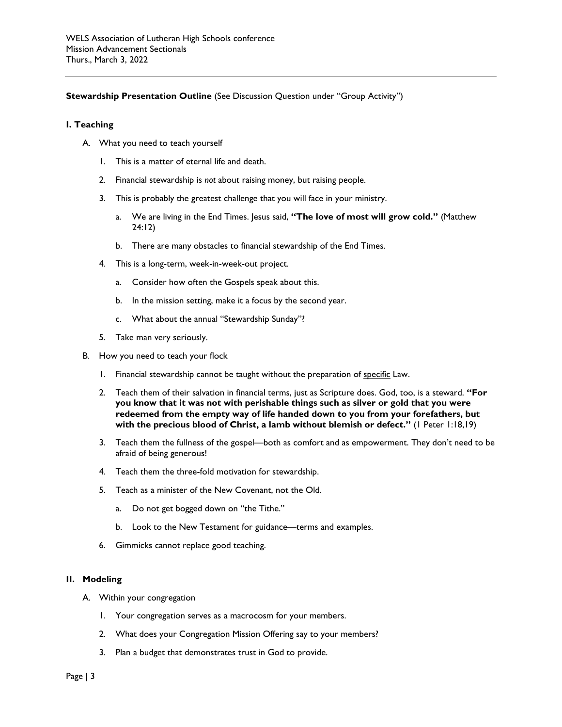## **Stewardship Presentation Outline** (See Discussion Question under "Group Activity")

#### **I. Teaching**

- A. What you need to teach yourself
	- 1. This is a matter of eternal life and death.
	- 2. Financial stewardship is *not* about raising money, but raising people.
	- 3. This is probably the greatest challenge that you will face in your ministry.
		- a. We are living in the End Times. Jesus said, **"The love of most will grow cold."** (Matthew 24:12)
		- b. There are many obstacles to financial stewardship of the End Times.
	- 4. This is a long-term, week-in-week-out project.
		- a. Consider how often the Gospels speak about this.
		- b. In the mission setting, make it a focus by the second year.
		- c. What about the annual "Stewardship Sunday"?
	- 5. Take man very seriously.
- B. How you need to teach your flock
	- 1. Financial stewardship cannot be taught without the preparation of specific Law.
	- 2. Teach them of their salvation in financial terms, just as Scripture does. God, too, is a steward. **"For you know that it was not with perishable things such as silver or gold that you were redeemed from the empty way of life handed down to you from your forefathers, but with the precious blood of Christ, a lamb without blemish or defect."** (1 Peter 1:18,19)
	- 3. Teach them the fullness of the gospel—both as comfort and as empowerment. They don't need to be afraid of being generous!
	- 4. Teach them the three-fold motivation for stewardship.
	- 5. Teach as a minister of the New Covenant, not the Old.
		- a. Do not get bogged down on "the Tithe."
		- b. Look to the New Testament for guidance—terms and examples.
	- 6. Gimmicks cannot replace good teaching.

#### **II. Modeling**

- A. Within your congregation
	- 1. Your congregation serves as a macrocosm for your members.
	- 2. What does your Congregation Mission Offering say to your members?
	- 3. Plan a budget that demonstrates trust in God to provide.